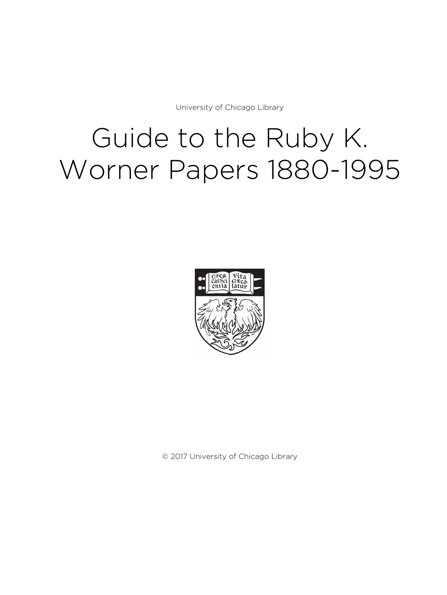University of Chicago Library

# Guide to the Ruby K. Worner Papers 1880-1995



© 2017 University of Chicago Library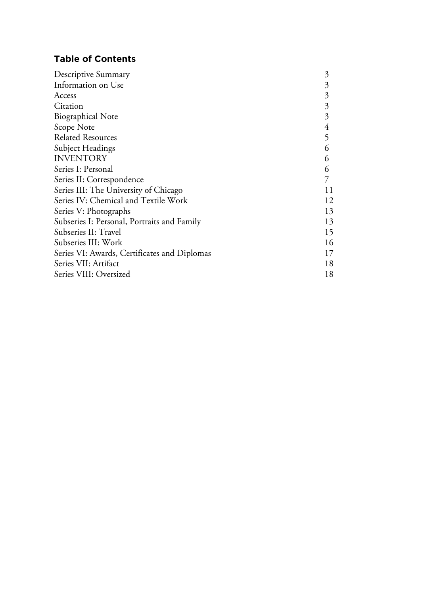# **Table of Contents**

| 3  |
|----|
| 3  |
| 3  |
| 3  |
| 3  |
| 4  |
| 5  |
| 6  |
| 6  |
| 6  |
|    |
| 11 |
| 12 |
| 13 |
| 13 |
| 15 |
| 16 |
| 17 |
| 18 |
| 18 |
|    |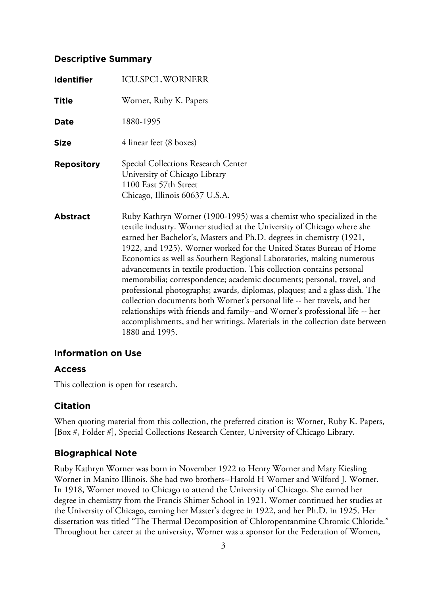#### **Descriptive Summary**

| <b>Identifier</b> | <b>ICU.SPCL.WORNERR</b>                                                                                                                                                                                                                                                                                                                                                                                                                                                                                                                                                                                                                                                                                                                                                                                                                                              |
|-------------------|----------------------------------------------------------------------------------------------------------------------------------------------------------------------------------------------------------------------------------------------------------------------------------------------------------------------------------------------------------------------------------------------------------------------------------------------------------------------------------------------------------------------------------------------------------------------------------------------------------------------------------------------------------------------------------------------------------------------------------------------------------------------------------------------------------------------------------------------------------------------|
| Title             | Worner, Ruby K. Papers                                                                                                                                                                                                                                                                                                                                                                                                                                                                                                                                                                                                                                                                                                                                                                                                                                               |
| Date              | 1880-1995                                                                                                                                                                                                                                                                                                                                                                                                                                                                                                                                                                                                                                                                                                                                                                                                                                                            |
| <b>Size</b>       | 4 linear feet (8 boxes)                                                                                                                                                                                                                                                                                                                                                                                                                                                                                                                                                                                                                                                                                                                                                                                                                                              |
| <b>Repository</b> | Special Collections Research Center<br>University of Chicago Library<br>1100 East 57th Street<br>Chicago, Illinois 60637 U.S.A.                                                                                                                                                                                                                                                                                                                                                                                                                                                                                                                                                                                                                                                                                                                                      |
| <b>Abstract</b>   | Ruby Kathryn Worner (1900-1995) was a chemist who specialized in the<br>textile industry. Worner studied at the University of Chicago where she<br>earned her Bachelor's, Masters and Ph.D. degrees in chemistry (1921,<br>1922, and 1925). Worner worked for the United States Bureau of Home<br>Economics as well as Southern Regional Laboratories, making numerous<br>advancements in textile production. This collection contains personal<br>memorabilia; correspondence; academic documents; personal, travel, and<br>professional photographs; awards, diplomas, plaques; and a glass dish. The<br>collection documents both Worner's personal life -- her travels, and her<br>relationships with friends and family--and Worner's professional life -- her<br>accomplishments, and her writings. Materials in the collection date between<br>1880 and 1995. |

#### **Information on Use**

#### **Access**

This collection is open for research.

#### **Citation**

When quoting material from this collection, the preferred citation is: Worner, Ruby K. Papers, [Box #, Folder #], Special Collections Research Center, University of Chicago Library.

#### **Biographical Note**

Ruby Kathryn Worner was born in November 1922 to Henry Worner and Mary Kiesling Worner in Manito Illinois. She had two brothers--Harold H Worner and Wilford J. Worner. In 1918, Worner moved to Chicago to attend the University of Chicago. She earned her degree in chemistry from the Francis Shimer School in 1921. Worner continued her studies at the University of Chicago, earning her Master's degree in 1922, and her Ph.D. in 1925. Her dissertation was titled "The Thermal Decomposition of Chloropentanmine Chromic Chloride." Throughout her career at the university, Worner was a sponsor for the Federation of Women,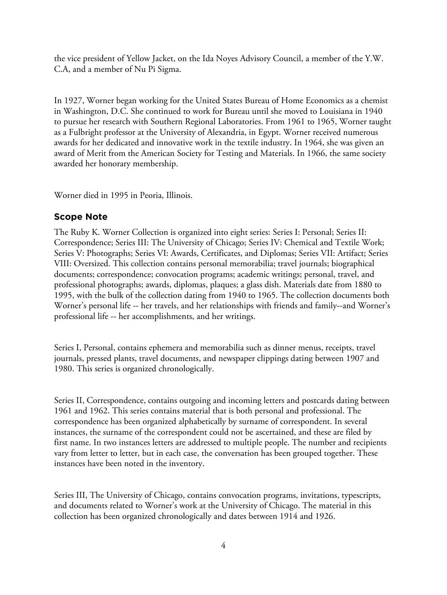the vice president of Yellow Jacket, on the Ida Noyes Advisory Council, a member of the Y.W. C.A, and a member of Nu Pi Sigma.

In 1927, Worner began working for the United States Bureau of Home Economics as a chemist in Washington, D.C. She continued to work for Bureau until she moved to Louisiana in 1940 to pursue her research with Southern Regional Laboratories. From 1961 to 1965, Worner taught as a Fulbright professor at the University of Alexandria, in Egypt. Worner received numerous awards for her dedicated and innovative work in the textile industry. In 1964, she was given an award of Merit from the American Society for Testing and Materials. In 1966, the same society awarded her honorary membership.

Worner died in 1995 in Peoria, Illinois.

# **Scope Note**

The Ruby K. Worner Collection is organized into eight series: Series I: Personal; Series II: Correspondence; Series III: The University of Chicago; Series IV: Chemical and Textile Work; Series V: Photographs; Series VI: Awards, Certificates, and Diplomas; Series VII: Artifact; Series VIII: Oversized. This collection contains personal memorabilia; travel journals; biographical documents; correspondence; convocation programs; academic writings; personal, travel, and professional photographs; awards, diplomas, plaques; a glass dish. Materials date from 1880 to 1995, with the bulk of the collection dating from 1940 to 1965. The collection documents both Worner's personal life -- her travels, and her relationships with friends and family--and Worner's professional life -- her accomplishments, and her writings.

Series I, Personal, contains ephemera and memorabilia such as dinner menus, receipts, travel journals, pressed plants, travel documents, and newspaper clippings dating between 1907 and 1980. This series is organized chronologically.

Series II, Correspondence, contains outgoing and incoming letters and postcards dating between 1961 and 1962. This series contains material that is both personal and professional. The correspondence has been organized alphabetically by surname of correspondent. In several instances, the surname of the correspondent could not be ascertained, and these are filed by first name. In two instances letters are addressed to multiple people. The number and recipients vary from letter to letter, but in each case, the conversation has been grouped together. These instances have been noted in the inventory.

Series III, The University of Chicago, contains convocation programs, invitations, typescripts, and documents related to Worner's work at the University of Chicago. The material in this collection has been organized chronologically and dates between 1914 and 1926.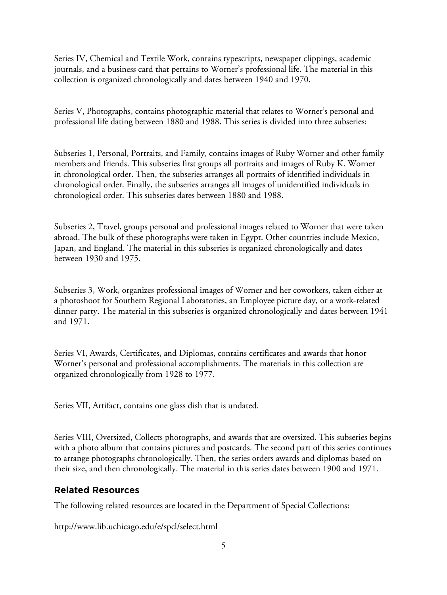Series IV, Chemical and Textile Work, contains typescripts, newspaper clippings, academic journals, and a business card that pertains to Worner's professional life. The material in this collection is organized chronologically and dates between 1940 and 1970.

Series V, Photographs, contains photographic material that relates to Worner's personal and professional life dating between 1880 and 1988. This series is divided into three subseries:

Subseries 1, Personal, Portraits, and Family, contains images of Ruby Worner and other family members and friends. This subseries first groups all portraits and images of Ruby K. Worner in chronological order. Then, the subseries arranges all portraits of identified individuals in chronological order. Finally, the subseries arranges all images of unidentified individuals in chronological order. This subseries dates between 1880 and 1988.

Subseries 2, Travel, groups personal and professional images related to Worner that were taken abroad. The bulk of these photographs were taken in Egypt. Other countries include Mexico, Japan, and England. The material in this subseries is organized chronologically and dates between 1930 and 1975.

Subseries 3, Work, organizes professional images of Worner and her coworkers, taken either at a photoshoot for Southern Regional Laboratories, an Employee picture day, or a work-related dinner party. The material in this subseries is organized chronologically and dates between 1941 and 1971.

Series VI, Awards, Certificates, and Diplomas, contains certificates and awards that honor Worner's personal and professional accomplishments. The materials in this collection are organized chronologically from 1928 to 1977.

Series VII, Artifact, contains one glass dish that is undated.

Series VIII, Oversized, Collects photographs, and awards that are oversized. This subseries begins with a photo album that contains pictures and postcards. The second part of this series continues to arrange photographs chronologically. Then, the series orders awards and diplomas based on their size, and then chronologically. The material in this series dates between 1900 and 1971.

# **Related Resources**

The following related resources are located in the Department of Special Collections:

http://www.lib.uchicago.edu/e/spcl/select.html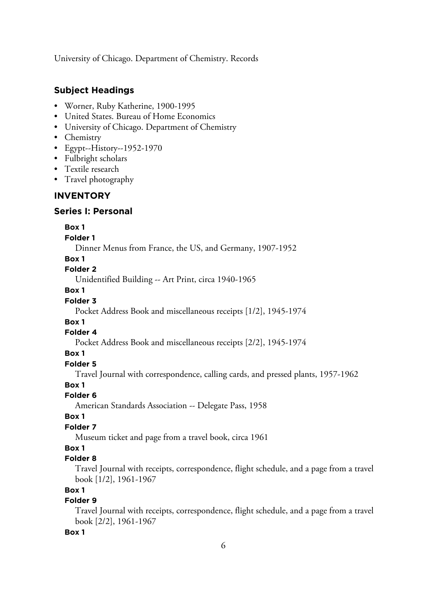University of Chicago. Department of Chemistry. Records

## **Subject Headings**

- Worner, Ruby Katherine, 1900-1995
- United States. Bureau of Home Economics
- University of Chicago. Department of Chemistry
- Chemistry
- Egypt--History--1952-1970
- Fulbright scholars
- Textile research
- Travel photography

#### **INVENTORY**

#### **Series I: Personal**

#### **Box 1**

#### **Folder 1**

Dinner Menus from France, the US, and Germany, 1907-1952

#### **Box 1**

#### **Folder 2**

Unidentified Building -- Art Print, circa 1940-1965

#### **Box 1**

#### **Folder 3**

Pocket Address Book and miscellaneous receipts [1/2], 1945-1974

#### **Box 1**

#### **Folder 4**

Pocket Address Book and miscellaneous receipts [2/2], 1945-1974

#### **Box 1**

#### **Folder 5**

Travel Journal with correspondence, calling cards, and pressed plants, 1957-1962

#### **Box 1**

#### **Folder 6**

American Standards Association -- Delegate Pass, 1958

#### **Box 1**

#### **Folder 7**

Museum ticket and page from a travel book, circa 1961

#### **Box 1**

#### **Folder 8**

Travel Journal with receipts, correspondence, flight schedule, and a page from a travel book [1/2], 1961-1967

### **Box 1**

## **Folder 9**

Travel Journal with receipts, correspondence, flight schedule, and a page from a travel book [2/2], 1961-1967

#### **Box 1**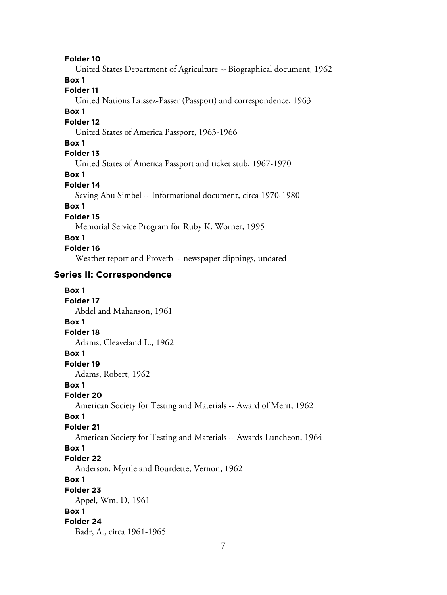#### **Folder 10**

United States Department of Agriculture -- Biographical document, 1962

## **Box 1**

#### **Folder 11**

United Nations Laissez-Passer (Passport) and correspondence, 1963

#### **Box 1**

#### **Folder 12**

United States of America Passport, 1963-1966

#### **Box 1**

#### **Folder 13**

United States of America Passport and ticket stub, 1967-1970

#### **Box 1**

## **Folder 14**

Saving Abu Simbel -- Informational document, circa 1970-1980

#### **Box 1**

# **Folder 15**

Memorial Service Program for Ruby K. Worner, 1995

#### **Box 1**

#### **Folder 16**

Weather report and Proverb -- newspaper clippings, undated

#### **Series II: Correspondence**

| Box 1                                                               |
|---------------------------------------------------------------------|
| Folder 17                                                           |
| Abdel and Mahanson, 1961                                            |
| Box 1                                                               |
| Folder 18                                                           |
| Adams, Cleaveland L., 1962                                          |
| Box 1                                                               |
| Folder 19                                                           |
| Adams, Robert, 1962                                                 |
| Box 1                                                               |
| Folder 20                                                           |
| American Society for Testing and Materials -- Award of Merit, 1962  |
| Box 1                                                               |
| Folder 21                                                           |
| American Society for Testing and Materials -- Awards Luncheon, 1964 |
| Box 1                                                               |
| Folder 22                                                           |
| Anderson, Myrtle and Bourdette, Vernon, 1962                        |
| Box 1                                                               |
| Folder 23                                                           |
| Appel, Wm, D, 1961                                                  |
| Box 1                                                               |
| Folder 24                                                           |
| Badr, A., circa 1961-1965                                           |
|                                                                     |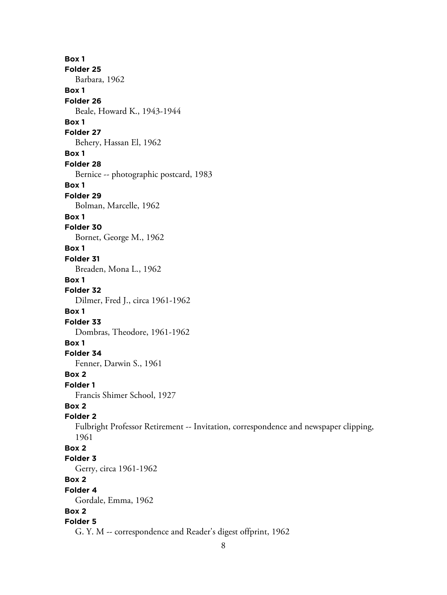**Box 1 Folder 25** Barbara, 1962 **Box 1 Folder 26** Beale, Howard K., 1943-1944 **Box 1 Folder 27** Behery, Hassan El, 1962 **Box 1 Folder 28** Bernice -- photographic postcard, 1983 **Box 1 Folder 29** Bolman, Marcelle, 1962 **Box 1 Folder 30** Bornet, George M., 1962 **Box 1 Folder 31** Breaden, Mona L., 1962 **Box 1 Folder 32** Dilmer, Fred J., circa 1961-1962 **Box 1 Folder 33** Dombras, Theodore, 1961-1962 **Box 1 Folder 34** Fenner, Darwin S., 1961 **Box 2 Folder 1** Francis Shimer School, 1927 **Box 2 Folder 2** Fulbright Professor Retirement -- Invitation, correspondence and newspaper clipping, 1961 **Box 2 Folder 3** Gerry, circa 1961-1962 **Box 2 Folder 4** Gordale, Emma, 1962 **Box 2 Folder 5** G. Y. M -- correspondence and Reader's digest offprint, 1962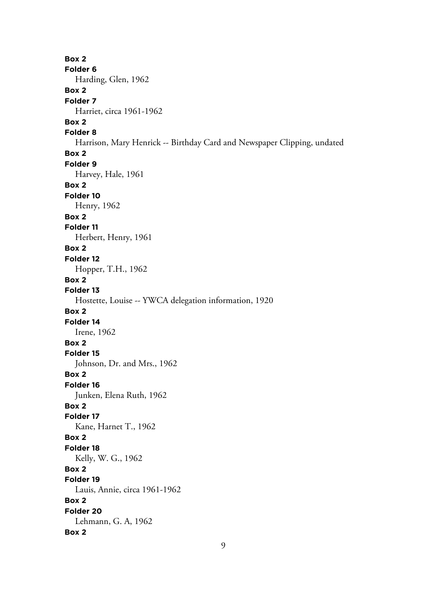**Box 2 Folder 6** Harding, Glen, 1962 **Box 2 Folder 7** Harriet, circa 1961-1962 **Box 2 Folder 8** Harrison, Mary Henrick -- Birthday Card and Newspaper Clipping, undated **Box 2 Folder 9** Harvey, Hale, 1961 **Box 2 Folder 10** Henry, 1962 **Box 2 Folder 11** Herbert, Henry, 1961 **Box 2 Folder 12** Hopper, T.H., 1962 **Box 2 Folder 13** Hostette, Louise -- YWCA delegation information, 1920 **Box 2 Folder 14** Irene, 1962 **Box 2 Folder 15** Johnson, Dr. and Mrs., 1962 **Box 2 Folder 16** Junken, Elena Ruth, 1962 **Box 2 Folder 17** Kane, Harnet T., 1962 **Box 2 Folder 18** Kelly, W. G., 1962 **Box 2 Folder 19** Lauis, Annie, circa 1961-1962 **Box 2 Folder 20** Lehmann, G. A, 1962 **Box 2**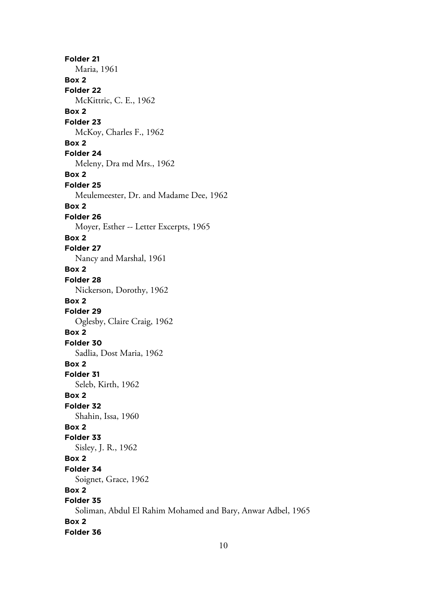**Folder 21** Maria, 1961 **Box 2 Folder 22** McKittric, C. E., 1962 **Box 2 Folder 23** McKoy, Charles F., 1962 **Box 2 Folder 24** Meleny, Dra md Mrs., 1962 **Box 2 Folder 25** Meulemeester, Dr. and Madame Dee, 1962 **Box 2 Folder 26** Moyer, Esther -- Letter Excerpts, 1965 **Box 2 Folder 27** Nancy and Marshal, 1961 **Box 2 Folder 28** Nickerson, Dorothy, 1962 **Box 2 Folder 29** Oglesby, Claire Craig, 1962 **Box 2 Folder 30** Sadlia, Dost Maria, 1962 **Box 2 Folder 31** Seleb, Kirth, 1962 **Box 2 Folder 32** Shahin, Issa, 1960 **Box 2 Folder 33** Sisley, J. R., 1962 **Box 2 Folder 34** Soignet, Grace, 1962 **Box 2 Folder 35** Soliman, Abdul El Rahim Mohamed and Bary, Anwar Adbel, 1965 **Box 2 Folder 36**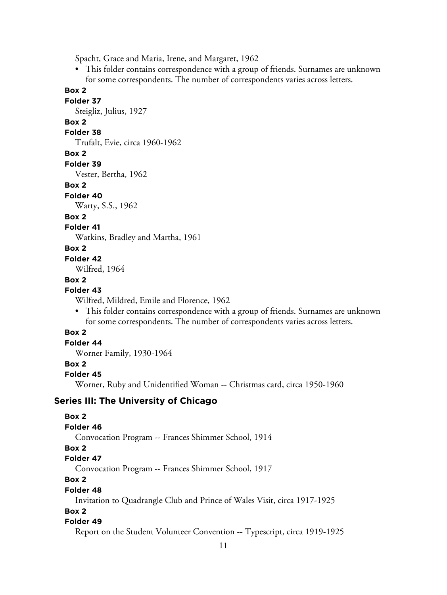Spacht, Grace and Maria, Irene, and Margaret, 1962

• This folder contains correspondence with a group of friends. Surnames are unknown for some correspondents. The number of correspondents varies across letters.

**Box 2**

#### **Folder 37**

Steigliz, Julius, 1927

# **Box 2**

# **Folder 38**

Trufalt, Evie, circa 1960-1962

#### **Box 2**

**Folder 39**

Vester, Bertha, 1962

#### **Box 2**

#### **Folder 40**

Warty, S.S., 1962

#### **Box 2**

## **Folder 41**

Watkins, Bradley and Martha, 1961

#### **Box 2**

#### **Folder 42**

Wilfred, 1964

#### **Box 2**

#### **Folder 43**

Wilfred, Mildred, Emile and Florence, 1962

• This folder contains correspondence with a group of friends. Surnames are unknown for some correspondents. The number of correspondents varies across letters.

#### **Box 2**

## **Folder 44**

Worner Family, 1930-1964

#### **Box 2**

#### **Folder 45**

Worner, Ruby and Unidentified Woman -- Christmas card, circa 1950-1960

#### **Series III: The University of Chicago**

#### **Folder 49**

Report on the Student Volunteer Convention -- Typescript, circa 1919-1925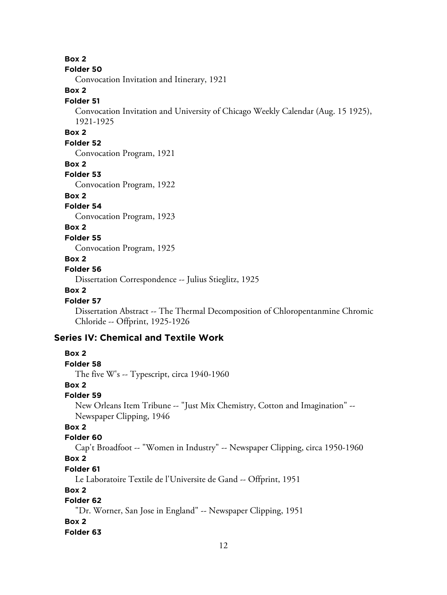**Box 2**

#### **Folder 50**

Convocation Invitation and Itinerary, 1921

#### **Box 2**

#### **Folder 51**

Convocation Invitation and University of Chicago Weekly Calendar (Aug. 15 1925), 1921-1925

#### **Box 2**

#### **Folder 52**

Convocation Program, 1921

#### **Box 2**

#### **Folder 53**

Convocation Program, 1922

#### **Box 2**

#### **Folder 54**

Convocation Program, 1923

#### **Box 2**

**Folder 55**

Convocation Program, 1925

#### **Box 2**

#### **Folder 56**

Dissertation Correspondence -- Julius Stieglitz, 1925

#### **Box 2**

**Box 2**

#### **Folder 57**

Dissertation Abstract -- The Thermal Decomposition of Chloropentanmine Chromic Chloride -- Offprint, 1925-1926

#### **Series IV: Chemical and Textile Work**

## **Folder 58** The five W's -- Typescript, circa 1940-1960 **Box 2 Folder 59** New Orleans Item Tribune -- "Just Mix Chemistry, Cotton and Imagination" -- Newspaper Clipping, 1946 **Box 2 Folder 60** Cap't Broadfoot -- "Women in Industry" -- Newspaper Clipping, circa 1950-1960 **Box 2 Folder 61** Le Laboratoire Textile de l'Universite de Gand -- Offprint, 1951 **Box 2 Folder 62** "Dr. Worner, San Jose in England" -- Newspaper Clipping, 1951 **Box 2**

#### **Folder 63**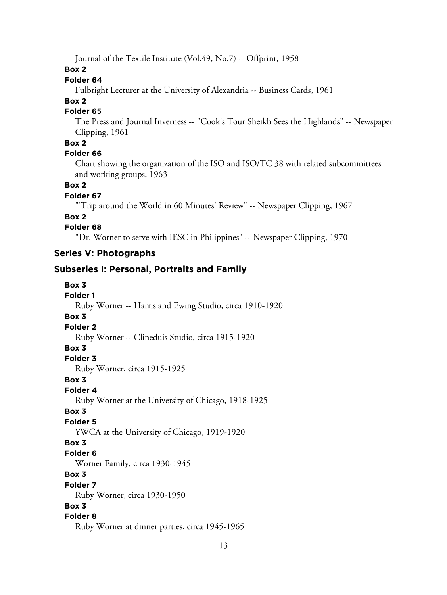Journal of the Textile Institute (Vol.49, No.7) -- Offprint, 1958

**Box 2**

#### **Folder 64**

Fulbright Lecturer at the University of Alexandria -- Business Cards, 1961

#### **Box 2**

#### **Folder 65**

The Press and Journal Inverness -- "Cook's Tour Sheikh Sees the Highlands" -- Newspaper Clipping, 1961

#### **Box 2**

#### **Folder 66**

Chart showing the organization of the ISO and ISO/TC 38 with related subcommittees and working groups, 1963

#### **Box 2**

#### **Folder 67**

"'Trip around the World in 60 Minutes' Review" -- Newspaper Clipping, 1967

#### **Box 2**

#### **Folder 68**

"Dr. Worner to serve with IESC in Philippines" -- Newspaper Clipping, 1970

#### **Series V: Photographs**

# **Subseries I: Personal, Portraits and Family**

| Box 3                                                   |
|---------------------------------------------------------|
| <b>Folder 1</b>                                         |
| Ruby Worner -- Harris and Ewing Studio, circa 1910-1920 |
| Box 3                                                   |
| <b>Folder 2</b>                                         |
| Ruby Worner -- Clineduis Studio, circa 1915-1920        |
| Box 3                                                   |
| Folder 3                                                |
| Ruby Worner, circa 1915-1925                            |
| Box 3                                                   |
| Folder 4                                                |
| Ruby Worner at the University of Chicago, 1918-1925     |
| Box 3                                                   |
| <b>Folder 5</b>                                         |
| YWCA at the University of Chicago, 1919-1920            |
| Box 3                                                   |
| Folder <sub>6</sub>                                     |
| Worner Family, circa 1930-1945                          |
| Box 3                                                   |
| Folder 7                                                |
| Ruby Worner, circa 1930-1950                            |
| Box 3                                                   |
| Folder 8                                                |
| Ruby Worner at dinner parties, circa 1945-1965          |
|                                                         |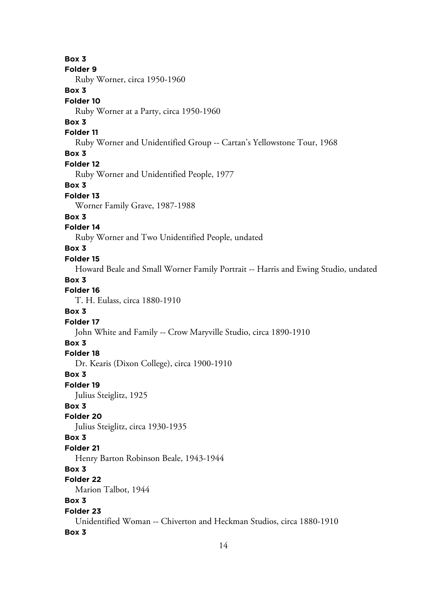**Box 3 Folder 9** Ruby Worner, circa 1950-1960 **Box 3 Folder 10** Ruby Worner at a Party, circa 1950-1960 **Box 3 Folder 11** Ruby Worner and Unidentified Group -- Cartan's Yellowstone Tour, 1968 **Box 3 Folder 12** Ruby Worner and Unidentified People, 1977 **Box 3 Folder 13** Worner Family Grave, 1987-1988 **Box 3 Folder 14** Ruby Worner and Two Unidentified People, undated **Box 3 Folder 15** Howard Beale and Small Worner Family Portrait -- Harris and Ewing Studio, undated **Box 3 Folder 16** T. H. Eulass, circa 1880-1910 **Box 3 Folder 17** John White and Family -- Crow Maryville Studio, circa 1890-1910 **Box 3 Folder 18** Dr. Kearis (Dixon College), circa 1900-1910 **Box 3 Folder 19** Julius Steiglitz, 1925 **Box 3 Folder 20** Julius Steiglitz, circa 1930-1935 **Box 3 Folder 21** Henry Barton Robinson Beale, 1943-1944 **Box 3 Folder 22** Marion Talbot, 1944 **Box 3 Folder 23** Unidentified Woman -- Chiverton and Heckman Studios, circa 1880-1910 **Box 3**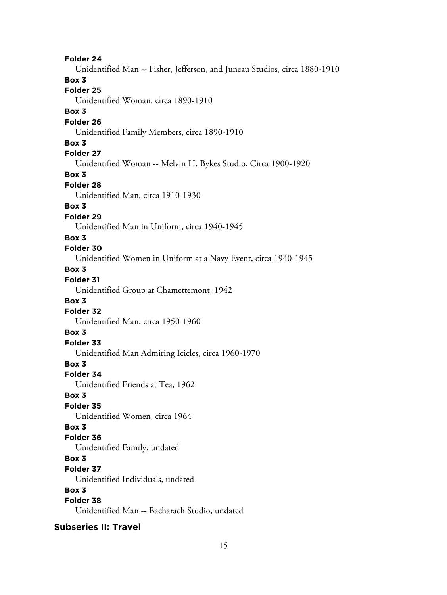**Folder 24** Unidentified Man -- Fisher, Jefferson, and Juneau Studios, circa 1880-1910 **Box 3 Folder 25** Unidentified Woman, circa 1890-1910 **Box 3 Folder 26** Unidentified Family Members, circa 1890-1910 **Box 3 Folder 27** Unidentified Woman -- Melvin H. Bykes Studio, Circa 1900-1920 **Box 3 Folder 28** Unidentified Man, circa 1910-1930 **Box 3 Folder 29** Unidentified Man in Uniform, circa 1940-1945 **Box 3 Folder 30** Unidentified Women in Uniform at a Navy Event, circa 1940-1945 **Box 3 Folder 31** Unidentified Group at Chamettemont, 1942 **Box 3 Folder 32** Unidentified Man, circa 1950-1960 **Box 3 Folder 33** Unidentified Man Admiring Icicles, circa 1960-1970 **Box 3 Folder 34** Unidentified Friends at Tea, 1962 **Box 3 Folder 35** Unidentified Women, circa 1964 **Box 3 Folder 36** Unidentified Family, undated **Box 3 Folder 37** Unidentified Individuals, undated **Box 3 Folder 38** Unidentified Man -- Bacharach Studio, undated

**Subseries II: Travel**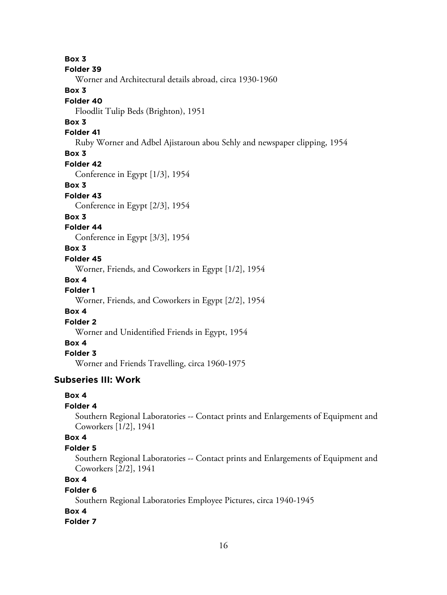**Box 3 Folder 39** Worner and Architectural details abroad, circa 1930-1960 **Box 3 Folder 40** Floodlit Tulip Beds (Brighton), 1951 **Box 3 Folder 41** Ruby Worner and Adbel Ajistaroun abou Sehly and newspaper clipping, 1954 **Box 3 Folder 42** Conference in Egypt [1/3], 1954 **Box 3 Folder 43** Conference in Egypt [2/3], 1954 **Box 3 Folder 44** Conference in Egypt [3/3], 1954 **Box 3 Folder 45** Worner, Friends, and Coworkers in Egypt [1/2], 1954 **Box 4 Folder 1** Worner, Friends, and Coworkers in Egypt [2/2], 1954 **Box 4 Folder 2**

Worner and Unidentified Friends in Egypt, 1954

# **Box 4**

**Folder 3**

Worner and Friends Travelling, circa 1960-1975

#### **Subseries III: Work**

#### **Box 4**

# **Folder 4**

Southern Regional Laboratories -- Contact prints and Enlargements of Equipment and Coworkers [1/2], 1941

#### **Box 4**

#### **Folder 5**

Southern Regional Laboratories -- Contact prints and Enlargements of Equipment and Coworkers [2/2], 1941

# **Box 4**

#### **Folder 6**

Southern Regional Laboratories Employee Pictures, circa 1940-1945

#### **Box 4**

#### **Folder 7**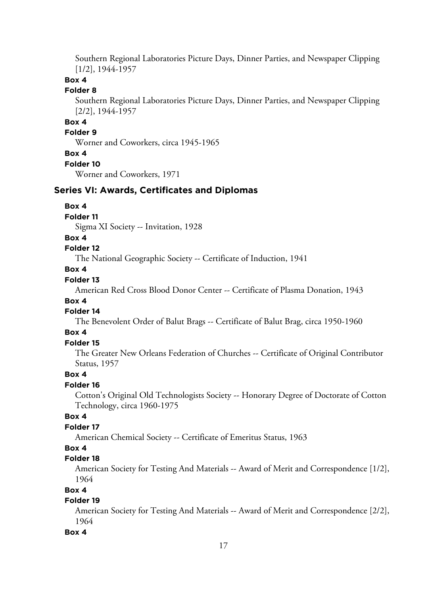Southern Regional Laboratories Picture Days, Dinner Parties, and Newspaper Clipping [1/2], 1944-1957

#### **Box 4**

#### **Folder 8**

Southern Regional Laboratories Picture Days, Dinner Parties, and Newspaper Clipping [2/2], 1944-1957

# **Box 4**

#### **Folder 9**

Worner and Coworkers, circa 1945-1965

#### **Box 4**

#### **Folder 10**

Worner and Coworkers, 1971

#### **Series VI: Awards, Certificates and Diplomas**

#### **Box 4**

#### **Folder 11**

Sigma XI Society -- Invitation, 1928

#### **Box 4**

#### **Folder 12**

The National Geographic Society -- Certificate of Induction, 1941

#### **Box 4**

#### **Folder 13**

American Red Cross Blood Donor Center -- Certificate of Plasma Donation, 1943

#### **Box 4**

#### **Folder 14**

The Benevolent Order of Balut Brags -- Certificate of Balut Brag, circa 1950-1960

#### **Box 4**

## **Folder 15**

The Greater New Orleans Federation of Churches -- Certificate of Original Contributor Status, 1957

#### **Box 4**

#### **Folder 16**

Cotton's Original Old Technologists Society -- Honorary Degree of Doctorate of Cotton Technology, circa 1960-1975

#### **Box 4**

#### **Folder 17**

American Chemical Society -- Certificate of Emeritus Status, 1963

#### **Box 4**

#### **Folder 18**

American Society for Testing And Materials -- Award of Merit and Correspondence [1/2], 1964

#### **Box 4**

#### **Folder 19**

American Society for Testing And Materials -- Award of Merit and Correspondence [2/2], 1964

#### **Box 4**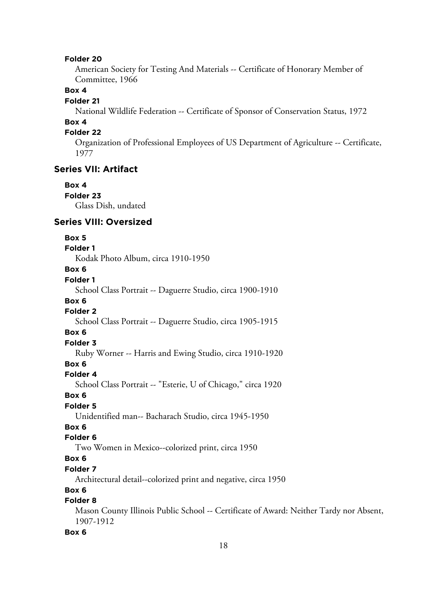#### **Folder 20**

American Society for Testing And Materials -- Certificate of Honorary Member of Committee, 1966

#### **Box 4**

#### **Folder 21**

National Wildlife Federation -- Certificate of Sponsor of Conservation Status, 1972

#### **Box 4**

#### **Folder 22**

Organization of Professional Employees of US Department of Agriculture -- Certificate, 1977

#### **Series VII: Artifact**

# **Box 4**

**Folder 23** Glass Dish, undated

#### **Series VIII: Oversized**

#### **Box 5**

# **Folder 1**

Kodak Photo Album, circa 1910-1950

# **Box 6**

# **Folder 1**

School Class Portrait -- Daguerre Studio, circa 1900-1910

#### **Box 6**

# **Folder 2**

School Class Portrait -- Daguerre Studio, circa 1905-1915

#### **Box 6**

# **Folder 3**

Ruby Worner -- Harris and Ewing Studio, circa 1910-1920

# **Box 6**

#### **Folder 4**

School Class Portrait -- "Esterie, U of Chicago," circa 1920

#### **Box 6**

#### **Folder 5**

Unidentified man-- Bacharach Studio, circa 1945-1950

# **Box 6**

#### **Folder 6**

Two Women in Mexico--colorized print, circa 1950

# **Box 6**

# **Folder 7**

Architectural detail--colorized print and negative, circa 1950

#### **Box 6**

#### **Folder 8**

Mason County Illinois Public School -- Certificate of Award: Neither Tardy nor Absent, 1907-1912

#### **Box 6**